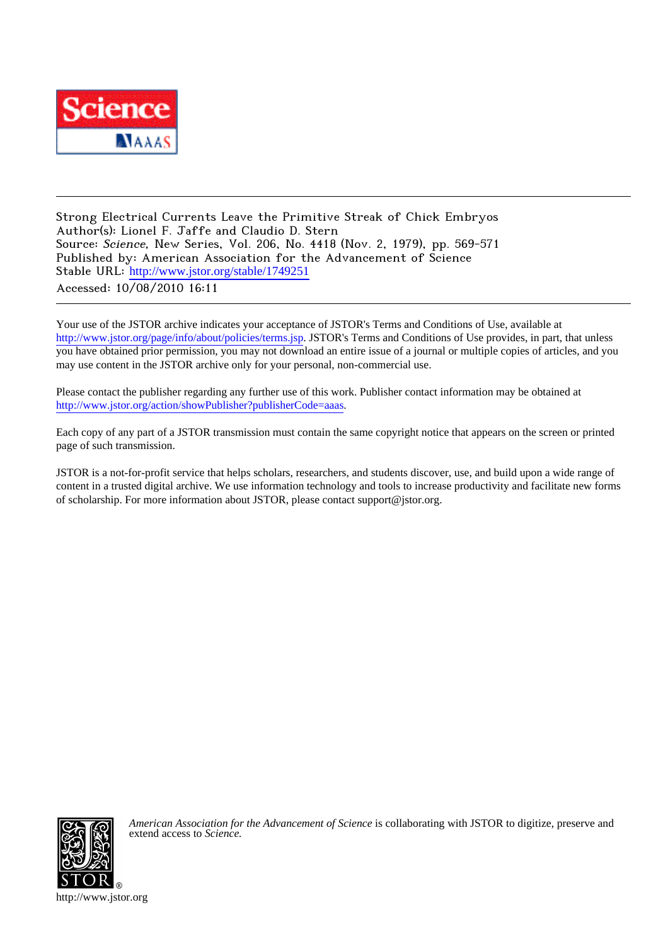

Strong Electrical Currents Leave the Primitive Streak of Chick Embryos Author(s): Lionel F. Jaffe and Claudio D. Stern Source: Science, New Series, Vol. 206, No. 4418 (Nov. 2, 1979), pp. 569-571 Published by: American Association for the Advancement of Science Stable URL: [http://www.jstor.org/stable/1749251](http://www.jstor.org/stable/1749251?origin=JSTOR-pdf) Accessed: 10/08/2010 16:11

Your use of the JSTOR archive indicates your acceptance of JSTOR's Terms and Conditions of Use, available at <http://www.jstor.org/page/info/about/policies/terms.jsp>. JSTOR's Terms and Conditions of Use provides, in part, that unless you have obtained prior permission, you may not download an entire issue of a journal or multiple copies of articles, and you may use content in the JSTOR archive only for your personal, non-commercial use.

Please contact the publisher regarding any further use of this work. Publisher contact information may be obtained at <http://www.jstor.org/action/showPublisher?publisherCode=aaas>.

Each copy of any part of a JSTOR transmission must contain the same copyright notice that appears on the screen or printed page of such transmission.

JSTOR is a not-for-profit service that helps scholars, researchers, and students discover, use, and build upon a wide range of content in a trusted digital archive. We use information technology and tools to increase productivity and facilitate new forms of scholarship. For more information about JSTOR, please contact support@jstor.org.



*American Association for the Advancement of Science* is collaborating with JSTOR to digitize, preserve and extend access to *Science.*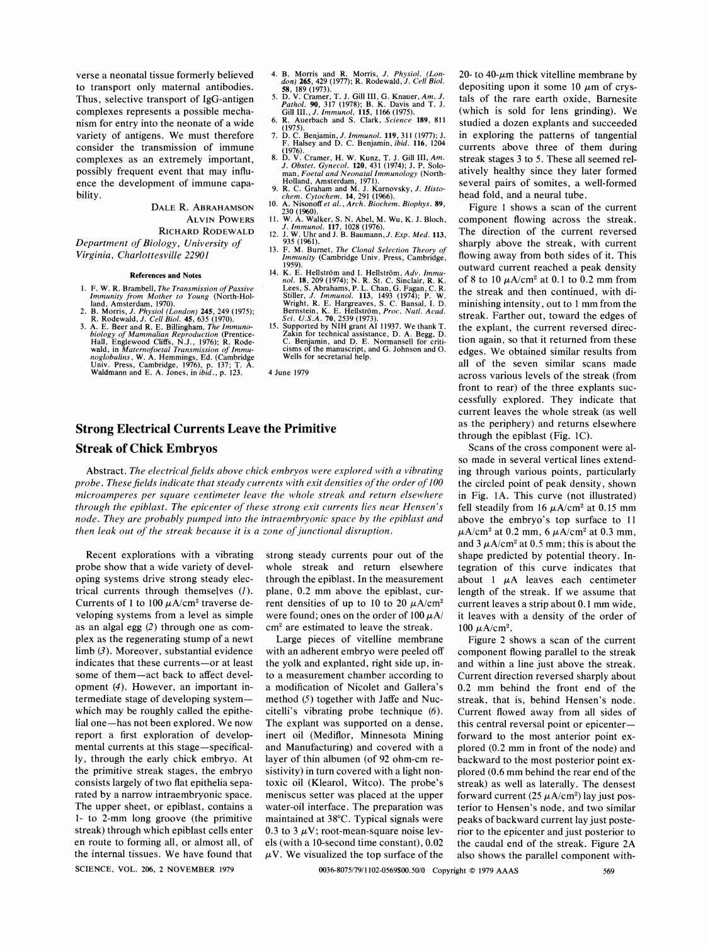**verse a neonatal tissue formerly believed to transport only maternal antibodies. Thus, selective transport of IgG-antigen complexes represents a possible mechanism for entry into the neonate of a wide variety of antigens. We must therefore consider the transmission of immune complexes as an extremely important, possibly frequent event that may influence the development of immune capability.** 

> **DALE R. ABRAHAMSON ALVIN POWERS**

**RICHARD RODEWALD** 

**Department of Biology, University of Virginia, Charlottesville 22901** 

## **References and Notes**

- 1. F. W. R. Brambell, *The Transmission of Passive Immunity from Mother to Young* (North-Holland, Amsterdam, 1970).<br>2. B. Morris, *J. Physiol* (*London*) 245, 249 (1975);<br>2. B. Morris, *J. Physiol* (*London*) 245, 249 (197
- 
- 3. A. E. Beer and R. E. Billingham, *The Immuno-biology of Mammalian Reproduction* (Prentice-<br>Hall, Englewood Cliffs, N.J., 1976); R. Rode-<br>wald, in *Maternofoetal Transmission of Immunoglobulins*, W. A. Hemmings, Ed. (Ca

## **Strong Electrical Currents Leave the Primitive Streak of Chick Embryos**

Abstract. The electrical fields above chick embryos were explored with a vibrating **probe. These fields indicate that steady currents with exit densities of the order of 100 microamperes per square centimeter leave the whole streak and return elsewhere through the epiblast. The epicenter of these strong exit currents lies near Hensen's node. They are probably pumped into the intraembryonic space by the epiblast and then leak out of the streak because it is a zone of junctional disruption.** 

**Recent explorations with a vibrating probe show that a wide variety of developing systems drive strong steady electrical currents through themselves (1).**  Currents of 1 to 100  $\mu$ A/cm<sup>2</sup> traverse de**veloping systems from a level as simple as an algal egg (2) through one as complex as the regenerating stump of a newt limb (3). Moreover, substantial evidence indicates that these currents-or at least some of them-act back to affect development (4). However, an important intermediate stage of developing systemwhich may be roughly called the epithelial one-has not been explored. We now report a first exploration of developmental currents at this stage-specifically, through the early chick embryo. At the primitive streak stages, the embryo consists largely of two flat epithelia separated by a narrow intraembryonic space. The upper sheet, or epiblast, contains a 1- to 2-mm long groove (the primitive streak) through which epiblast cells enter en route to forming all, or almost all, of the internal tissues. We have found that SCIENCE, VOL. 206, 2 NOVEMBER 1979** 

**strong steady currents pour out of the whole streak and return elsewhere through the epiblast. In the measurement plane, 0.2 mm above the epiblast, cur**rent densities of up to 10 to 20  $\mu$ A/cm<sup>2</sup> were found; ones on the order of  $100 \mu A$ / **cm2 are estimated to leave the streak.** 

4. B. Morris and R. Morris, *J. Physiol.* (*London*) **265**, 429 (1977); R. Rodewald, *J. Cell Biol.*<br>58, 189 (1973).<br>5. D. V. Cramer, T. J. Gill III, G. Knauer, Am. J.<br>*Pathol.* 90, 317 (1978); B. K. Davis and T. J.<br>Gill

**7. D. C. Benjamin, J. Immunol. 119, 311 (1977); J. F. Halsey and D. C. Benjamin, ibid. 116, 1204 (1976). 8. D. V. Cramer, H. W. Kunz, T. J. Gill III, Am. J. Obstet. Gynecol. 120, 431 (1974); J. P. Soloman, Foetal and Neonatal Immunology (North-Holland, Amsterdam, 1971). 9. R. C. Graham and M. J. Karnovsky, J. Histo-chem. Cytochem. 14, 291 (1966). 10. A. Nisonoffet al., Arch. Biochem. Biophys. 89,** 

230 (1960).<br> **11. W. A. Walker, S. N. Abel, M. Wu, K. J. Bloch,**<br> **11. Immunol. 117, 1028 (1976).**<br> **12. J. W. Uhr and J. B. Baumann, J. Exp. Med. 113,**<br>
935 (1961). **13. F. M. Burnet, The Clonal Selection Theory of Immunity (Cambridge Univ. Press, Cambridge, 1959). 14. K. E. Hellstrom and I. Hellstrom, Adv. Immunol. 18, 209 (1974); N. R. St. C. Sinclair, R. K. Lees, S. Abrahams, P. L. Chan, G. Fagan, C. R. Stiller, J. Immunol. 113, 1493 (1974); P. W.** 

Wright, R. E. Hargreaves, S. C. Bansal, I. D. Bernstein, K. E. Hellström, *Proc. Natl. Acad. Sci. U.S.A.* **70**, 2539 (1973).<br> **15. Supported by NIH grant AI 11937. We thank T.** 

**Wells for secretarial help.** 

**4 June 1979** 

**Zakin for technical assistance, D. A. Begg, D. C. Benjamin, and D. E. Normansell for criticisms of the manuscript, and G. Johnson and 0.** 

**Large pieces of vitelline membrane with an adherent embryo were peeled off the yolk and explanted, right side up, into a measurement chamber according to a modification of Nicolet and Gallera's method (5) together with Jaffe and Nuccitelli's vibrating probe technique (6). The explant was supported on a dense, inert oil (Mediflor, Minnesota Mining and Manufacturing) and covered with a layer of thin albumen (of 92 ohm-cm resistivity) in turn covered with a light nontoxic oil (Klearol, Witco). The probe's meniscus setter was placed at the upper water-oil interface. The preparation was maintained at 38?C. Typical signals were**  0.3 to 3  $\mu$ V; root-mean-square noise lev**els (with a 10-second time constant), 0.02**   $\mu$ V. We visualized the top surface of the

 $20$ - to  $40$ - $\mu$ m thick vitelline membrane by depositing upon it some  $10 \mu m$  of crys**tals of the rare earth oxide, Barnesite (which is sold for lens grinding). We studied a dozen explants and succeeded in exploring the patterns of tangential currents above three of them during streak stages 3 to 5. These all seemed relatively healthy since they later formed several pairs of somites, a well-formed head fold, and a neural tube.** 

**Figure 1 shows a scan of the current component flowing across the streak. The direction of the current reversed sharply above the streak, with current flowing away from both sides of it. This outward current reached a peak density**  of 8 to 10  $\mu$ A/cm<sup>2</sup> at 0.1 to 0.2 mm from **the streak and then continued, with diminishing intensity, out to 1 mm from the streak. Farther out, toward the edges of the explant, the current reversed direction again, so that it returned from these edges. We obtained similar results from all of the seven similar scans made across various levels of the streak (from front to rear) of the three explants successfully explored. They indicate that current leaves the whole streak (as well as the periphery) and returns elsewhere through the epiblast (Fig. 1C).** 

**Scans of the cross component were also made in several vertical lines extending through various points, particularly the circled point of peak density, shown in Fig. 1A. This curve (not illustrated)**  fell steadily from  $16 \mu A/cm^2$  at 0.15 mm **above the embryo's top surface to 11**   $\mu$ A/cm<sup>2</sup> at 0.2 mm, 6  $\mu$ A/cm<sup>2</sup> at 0.3 mm, and  $3 \mu A/cm^2$  at 0.5 mm; this is about the **shape predicted by potential theory. Integration of this curve indicates that**  about 1  $\mu$ A leaves each centimeter **length of the streak. If we assume that current leaves a strip about 0.1 mm wide, it leaves with a density of the order of**  100  $\mu$ A/cm<sup>2</sup>.

**Figure 2 shows a scan of the current component flowing parallel to the streak and within a line just above the streak. Current direction reversed sharply about 0.2 mm behind the front end of the streak, that is, behind Hensen's node. Current flowed away from all sides of this central reversal point or epicenterforward to the most anterior point explored (0.2 mm in front of the node) and backward to the most posterior point explored (0.6 mm behind the rear end of the streak) as well as laterally. The densest**  forward current  $(25 \mu A/cm^2)$  lay just pos**terior to Hensen's node, and two similar peaks of backward current lay just posterior to the epicenter and just posterior to the caudal end of the streak. Figure 2A also shows the parallel component with-**

**0036-8075/79/1102-0569\$00.50/0 Copyright ? 1979 AAAS**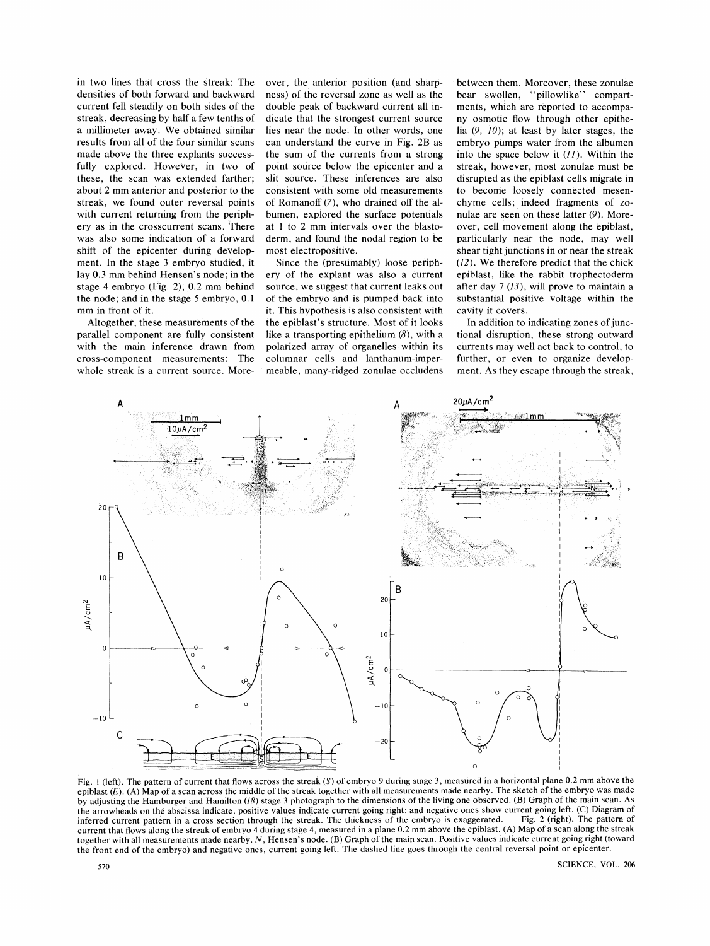**in two lines that cross the streak: The densities of both forward and backward current fell steadily on both sides of the streak, decreasing by half a few tenths of a millimeter away. We obtained similar results from all of the four similar scans made above the three explants successfully explored. However, in two of these, the scan was extended farther; about 2 mm anterior and posterior to the streak, we found outer reversal points with current returning from the periphery as in the crosscurrent scans. There was also some indication of a forward shift of the epicenter during development. In the stage 3 embryo studied, it lay 0.3 mm behind Hensen's node; in the stage 4 embryo (Fig. 2), 0.2 mm behind the node; and in the stage 5 embryo, 0.1 mm in front of it.** 

**Altogether, these measurements of the parallel component are fully consistent with the main inference drawn from cross-component measurements: The whole streak is a current source. More-** **over, the anterior position (and sharpness) of the reversal zone as well as the double peak of backward current all indicate that the strongest current source lies near the node. In other words, one can understand the curve in Fig. 2B as the sum of the currents from a strong point source below the epicenter and a slit source. These inferences are also consistent with some old measurements of Romanoff (7), who drained off the albumen, explored the surface potentials at 1 to 2 mm intervals over the blastoderm, and found the nodal region to be most electropositive.** 

**Since the (presumably) loose periphery of the explant was also a current source, we suggest that current leaks out of the embryo and is pumped back into it. This hypothesis is also consistent with the epiblast's structure. Most of it looks like a transporting epithelium (8), with a polarized array of organelles within its columnar cells and lanthanum-impermeable, many-ridged zonulae occludens**  **between them. Moreover, these zonulae bear swollen, "pillowlike" compartments, which are reported to accompany osmotic flow through other epithelia (9, 10); at least by later stages, the embryo pumps water from the albumen into the space below it (11). Within the streak, however, most zonulae must be disrupted as the epiblast cells migrate in to become loosely connected mesenchyme cells; indeed fragments of zonulae are seen on these latter (9). Moreover, cell movement along the epiblast, particularly near the node, may well shear tight junctions in or near the streak (12). We therefore predict that the chick epiblast, like the rabbit trophectoderm after day 7 (13), will prove to maintain a substantial positive voltage within the cavity it covers.** 

In addition to indicating zones of junc**tional disruption, these strong outward currents may well act back to control, to further, or even to organize development. As they escape through the streak,** 



**Fig. I (left). The pattern of current that flows across the streak (S) of embryo 9 during stage 3, measured in a horizontal plane 0.2 mm above the**  epiblast  $(E)$ . (A) Map of a scan across the middle of the streak together with all measurements made nearby. The sketch of the embryo was made **by adjusting the Hamburger and Hamilton (18) stage 3 photograph to the dimensions of the living one observed. (B) Graph of the main scan. As**  the arrowheads on the abscissa indicate, positive values indicate current going right; and negative ones show current going left. (C) Diagram of inferred current pattern in a cross section through the streak. The thickness inferred current pattern in a cross section through the streak. The thickness of the embryo is exaggerated. **current that flows along the streak of embryo 4 during stage 4, measured in a plane 0.2 mm above the epiblast. (A) Map of a scan along the streak together with all measurements made nearby. N, Hensen's node. (B) Graph of the main scan. Positive values indicate current going right (toward the front end of the embryo) and negative ones, current going left. The dashed line goes through the central reversal point or epicenter.**